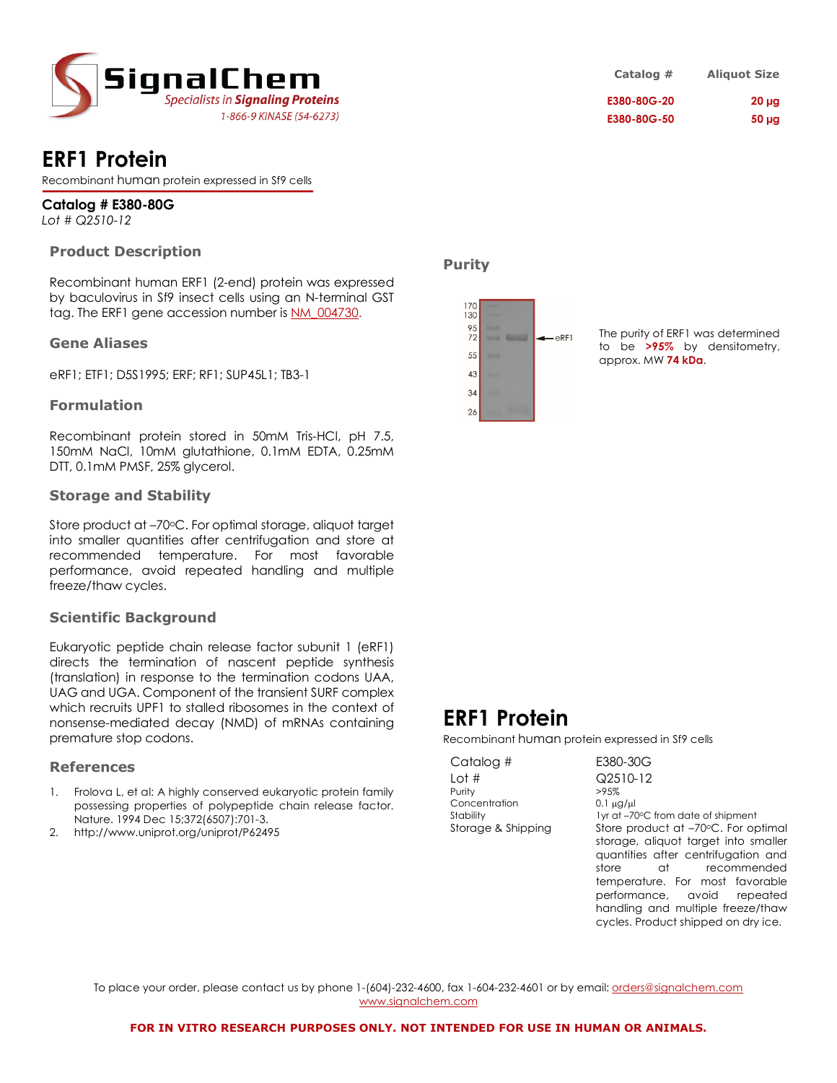

# **ERF1 Protein**

Recombinant human protein expressed in Sf9 cells

**Catalog # E380-80G** *Lot # Q2510-12*

### **Product Description**

Recombinant human ERF1 (2-end) protein was expressed by baculovirus in Sf9 insect cells using an N-terminal GST tag. The ERF1 gene accession number is NM\_004730.

#### **Gene Aliases**

eRF1; ETF1; D5S1995; ERF; RF1; SUP45L1; TB3-1

#### **Formulation**

Recombinant protein stored in 50mM Tris-HCl, pH 7.5, 150mM NaCl, 10mM glutathione, 0.1mM EDTA, 0.25mM DTT, 0.1mM PMSF, 25% glycerol.

#### **Storage and Stability**

Store product at -70°C. For optimal storage, aliquot target into smaller quantities after centrifugation and store at recommended temperature. For most favorable performance, avoid repeated handling and multiple freeze/thaw cycles.

#### **Scientific Background**

Eukaryotic peptide chain release factor subunit 1 (eRF1) directs the termination of nascent peptide synthesis (translation) in response to the termination codons UAA, UAG and UGA. Component of the transient SURF complex which recruits UPF1 to stalled ribosomes in the context of nonsense-mediated decay (NMD) of mRNAs containing premature stop codons.

#### **References**

- 1. Frolova L, et al: A highly conserved eukaryotic protein family possessing properties of polypeptide chain release factor. Nature. 1994 Dec 15;372(6507):701-3.
- 2. http://www.uniprot.org/uniprot/P62495

| Catalog #   | <b>Aliquot Size</b> |
|-------------|---------------------|
| E380-80G-20 | $20 \mu$ g          |
| E380-80G-50 | 50 <sub>µq</sub>    |

**Purity**



The purity of ERF1 was determined to be **>95%** by densitometry, approx. MW **74 kDa**.

# **ERF1 Protein**

Recombinant human protein expressed in Sf9 cells

| Catalog #          | E380-30G          |
|--------------------|-------------------|
| Lot #              | Q2510-12          |
| Purity             | >95%              |
| Concentration      | $0.1 \mu q / \mu$ |
| Stability          | $1yr$ at $-70°C$  |
| Storage & Shipping | Store prod        |
|                    | storage, a        |

 $-30G$  $-70^{\circ}$ C from date of shipment product at –70°C. For optimal ge, aliquot target into smaller quantities after centrifugation and store at recommended temperature. For most favorable performance, avoid repeated handling and multiple freeze/thaw cycles. Product shipped on dry ice.

To place your order, please contact us by phone 1-(604)-232-4600, fax 1-604-232-4601 or by email: orders@signalchem.com www.signalchem.com